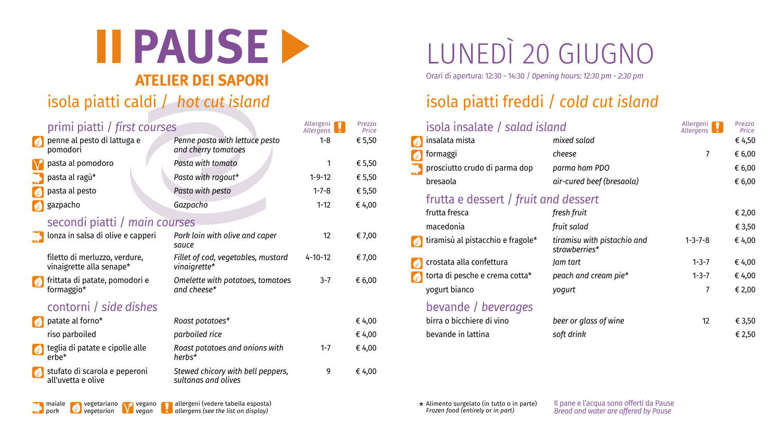*pork vegetarian vegan allergens (see the list on display) Frozen food (entirely or in part)*



Il pane e l'acqua sono offerti da Pause *Bread and water are offered by Pause*



# LUNEDÌ 20 GIUGNO

Orari di apertura: 12:30 - 14:30 / *0pening hours: 12:30 pm - 2:30 pm*

### isola piatti caldi / *hot cut island* isola piatti freddi / *cold cut island*

| primi piatti / first courses |                                                                                | Allergeni <b>17</b><br>Allergens                         | Prezzo<br>Price         | isola insalate / salad island |                                                  | Allergeni <b>17</b><br>Allergens             | Prezzo<br>Price |                  |
|------------------------------|--------------------------------------------------------------------------------|----------------------------------------------------------|-------------------------|-------------------------------|--------------------------------------------------|----------------------------------------------|-----------------|------------------|
|                              | penne al pesto di lattuga e                                                    | Penne pasta with lettuce pesto                           | $1 - 8$                 | € 5,50                        | insalata mista                                   | mixed salad                                  |                 | € 4,50           |
|                              | pomodori<br><b>V</b> pasta al pomodoro                                         | and cherry tomatoes<br>Pasta with tomato                 |                         | € 5,50                        | <b>formaggi</b><br>prosciutto crudo di parma dop | cheese<br>parma ham PDO                      |                 | € 6,00<br>€ 6,00 |
|                              | pasta al ragù*                                                                 | Pasta with ragout*                                       | $1 - 9 - 12$            | € 5,50                        | bresaola                                         | air-cured beef (bresaola)                    |                 | € 6,00           |
|                              | $\epsilon$ pasta al pesto<br>$\left\lbrack \mathcal{L} \right\rbrack$ gazpacho | Pasta with pesto<br>Gazpacho                             | $1 - 7 - 8$<br>$1 - 12$ | € 5,50<br>€ 4,00              | frutta e dessert / fruit and dessert             |                                              |                 |                  |
|                              | secondi piatti / main courses                                                  |                                                          |                         |                               | frutta fresca<br>macedonia                       | fresh fruit<br>fruit salad                   |                 | € 2,00<br>€ 3,50 |
|                              | Il lonza in salsa di olive e capperi                                           | Pork loin with olive and caper<br>sauce                  | 12                      | € 7,00                        | tiramisù al pistacchio e fragole*                | tiramisu with pistachio and<br>strawberries* | $1 - 3 - 7 - 8$ | € 4,00           |
|                              | filetto di merluzzo, verdure,<br>vinaigrette alla senape*                      | Fillet of cod, vegetables, mustard<br>vinaigrette*       | $4 - 10 - 12$           | € 7,00                        | crostata alla confettura                         | Jam tart                                     | $1 - 3 - 7$     | € 4,00           |
|                              | ⊧ frittata di patate, pomodori e<br>formaggio*                                 | Omelette with potatoes, tomatoes<br>and cheese*          | $3 - 7$                 | € 6,00                        | torta di pesche e crema cotta*<br>yogurt bianco  | peach and cream pie*<br>yogurt               | $1 - 3 - 7$     | € 4,00<br>€ 2,00 |
|                              | contorni / side dishes                                                         |                                                          |                         |                               | bevande / beverages                              |                                              |                 |                  |
|                              | $\left\lceil \frac{1}{2} \right\rceil$ patate al forno*                        | Roast potatoes*                                          |                         | € 4,00                        | birra o bicchiere di vino                        | beer or glass of wine                        | 12              | € 3,50           |
|                              | riso parboiled                                                                 | parboiled rice                                           |                         | € 4,00                        | bevande in lattina                               | soft drink                                   |                 | € 2,50           |
|                              | teglia di patate e cipolle alle<br>$erbe^*$                                    | Roast potatoes and onions with<br>herbs*                 | $1 - 7$                 | € 4,00                        |                                                  |                                              |                 |                  |
|                              | stufato di scarola e peperoni<br>all'uvetta e olive                            | Stewed chicory with bell peppers,<br>sultanas and olives | 9                       | € 4,00                        |                                                  |                                              |                 |                  |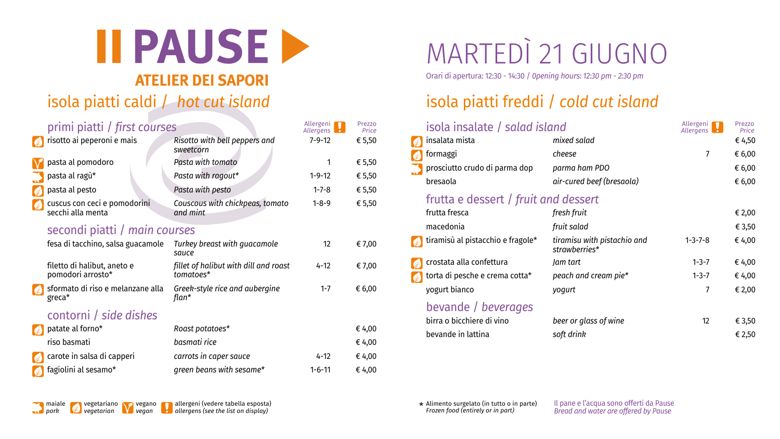

Il pane e l'acqua sono offerti da Pause *Bread and water are offered by Pause*



# MARTEDÌ 21 GIUGNO

Orari di apertura: 12:30 - 14:30 / *0pening hours: 12:30 pm - 2:30 pm*

### isola piatti caldi / *hot cut island* isola piatti freddi / *cold cut island*

| primi piatti / first courses                                      |                                             | Allergeni <sup>n</sup><br>Allergens | Prezzo<br>Price | isola insalate / salad island                    |                                              | Allergeni <b>17</b><br>Allergens | Prezzo<br>Price  |
|-------------------------------------------------------------------|---------------------------------------------|-------------------------------------|-----------------|--------------------------------------------------|----------------------------------------------|----------------------------------|------------------|
| $\left\lceil \frac{1}{2} \right\rceil$ risotto ai peperoni e mais | Risotto with bell peppers and               | $7 - 9 - 12$                        | € 5,50          | $\frac{1}{2}$ insalata mista                     | mixed salad                                  |                                  | € 4,50           |
| V pasta al pomodoro                                               | sweetcorn<br>Pasta with tomato              |                                     | € 5,50          | formaggi                                         | cheese                                       |                                  | € 6,00           |
| pasta al ragù*                                                    | Pasta with ragout*                          | $1 - 9 - 12$                        | € 5,50          | prosciutto crudo di parma dop<br>bresaola        | parma ham PDO<br>air-cured beef (bresaola)   |                                  | € 6,00<br>€ 6,00 |
| $\epsilon$ pasta al pesto                                         | Pasta with pesto                            | $1 - 7 - 8$                         | € 5,50          | frutta e dessert / fruit and dessert             |                                              |                                  |                  |
| cuscus con ceci e pomodorini<br>secchi alla menta                 | Couscous with chickpeas, tomato<br>and mint | $1 - 8 - 9$                         | € 5,50          | frutta fresca                                    | fresh fruit                                  |                                  | € 2,00           |
| secondi piatti / main courses                                     |                                             |                                     | macedonia       | fruit salad                                      |                                              | € 3,50                           |                  |
| fesa di tacchino, salsa guacamole                                 | Turkey breast with guacamole<br>sauce       | 12                                  | € 7,00          | tiramisù al pistacchio e fragole*                | tiramisu with pistachio and<br>strawberries* | $1 - 3 - 7 - 8$                  | € 4,00           |
| filetto di halibut, aneto e                                       | fillet of halibut with dill and roast       | $4 - 12$                            | € 7,00          | crostata alla confettura                         | Jam tart                                     | $1 - 3 - 7$                      | € 4,00           |
| pomodori arrosto*                                                 | tomatoes*                                   |                                     |                 | torta di pesche e crema cotta $^*$               | peach and cream pie*                         | $1 - 3 - 7$                      | € 4,00           |
| sformato di riso e melanzane alla                                 | Greek-style rice and aubergine<br>flan*     | $1 - 7$                             | € 6,00          | yogurt bianco                                    | yogurt                                       |                                  | € 2,00           |
| $greca*$<br>contorni / side dishes                                |                                             |                                     |                 | bevande / beverages<br>birra o bicchiere di vino | beer or glass of wine                        | 12                               | € 3,50           |
| $\left\{ \right\}$ patate al forno*                               | Roast potatoes*                             |                                     | € 4,00          | bevande in lattina                               | soft drink                                   |                                  | € 2,50           |
| riso basmati                                                      | basmati rice                                |                                     | € 4,00          |                                                  |                                              |                                  |                  |
| $\left\{\ast\right\}$ carote in salsa di capperi                  | carrots in caper sauce                      | $4 - 12$                            | € 4,00          |                                                  |                                              |                                  |                  |
| $\left\{ \right. \bullet \right\}$ fagiolini al sesamo*           | green beans with sesame*                    | $1 - 6 - 11$                        | € 4,00          |                                                  |                                              |                                  |                  |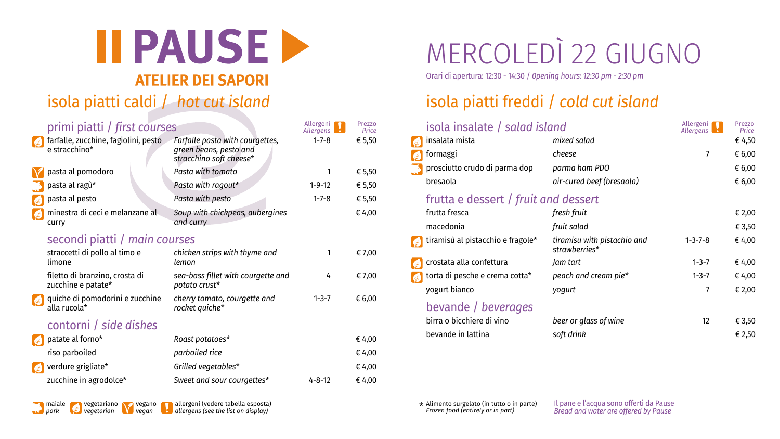*pork vegetarian vegan allergens (see the list on display) Frozen food (entirely or in part)*

Il pane e l'acqua sono offerti da Pause *Bread and water are offered by Pause*



# MERCOLEDÌ 22 GIUGNO

Orari di apertura: 12:30 - 14:30 / *0pening hours: 12:30 pm - 2:30 pm*

### isola piatti caldi / *hot cut island* isola piatti freddi / *cold cut island*

\* Alimento surgelato (in tutto o in parte)<br>Frozen food (entirely or in part) maiale vegetariano vegano allergeni (vedere tabella esposta) when we allemento surgelato (in tutto o in parte)

| primi piatti / first courses                                                           |                                                                                      | Allergeni <sup>n</sup><br>Allergens | Prezzo<br>Price  | isola insalate / salad island                                      |                                                          | Allergeni <sup>n</sup><br>Allergens | Prezzo<br>Price  |
|----------------------------------------------------------------------------------------|--------------------------------------------------------------------------------------|-------------------------------------|------------------|--------------------------------------------------------------------|----------------------------------------------------------|-------------------------------------|------------------|
| farfalle, zucchine, fagiolini, pesto<br>e stracchino*                                  | Farfalle pasta with courgettes,<br>green beans, pesto and<br>stracchino soft cheese* | $1 - 7 - 8$                         | € 5,50           | insalata mista<br>, formaggi                                       | mixed salad<br>cheese                                    |                                     | € 4,50<br>€ 6,00 |
| V pasta al pomodoro<br>pasta al ragù*                                                  | Pasta with tomato<br>Pasta with ragout*                                              | $1 - 9 - 12$                        | € 5,50<br>€ 5,50 | prosciutto crudo di parma dop<br>bresaola                          | parma ham PDO<br>air-cured beef (bresaola)               |                                     | € 6,00<br>€ 6,00 |
| pasta al pesto<br>minestra di ceci e melanzane al<br><b>Curry</b>                      | Pasta with pesto<br>Soup with chickpeas, aubergines<br>and curry                     | $1 - 7 - 8$                         | € 5,50<br>€ 4,00 | frutta e dessert / fruit and dessert<br>frutta fresca<br>macedonia | fresh fruit<br>fruit salad                               |                                     | € 2,00<br>€ 3,50 |
| secondi piatti / main courses<br>straccetti di pollo al timo e<br>limone               | chicken strips with thyme and<br>lemon                                               |                                     | € 7,00           | tiramisù al pistacchio e fragole*<br>crostata alla confettura      | tiramisu with pistachio and<br>strawberries*<br>Jam tart | $1 - 3 - 7 - 8$<br>$1 - 3 - 7$      | € 4,00<br>€ 4,00 |
| filetto di branzino, crosta di<br>zucchine e patate*                                   | sea-bass fillet with courgette and<br>potato crust*                                  | 4                                   | € 7,00           | torta di pesche e crema cotta*<br>yogurt bianco                    | peach and cream pie*<br>yogurt                           | $1 - 3 - 7$                         | € 4,00<br>€ 2,00 |
| quiche di pomodorini e zucchine<br>$\sum$<br>alla rucola $*$<br>contorni / side dishes | cherry tomato, courgette and<br>rocket quiche*                                       | $1 - 3 - 7$                         | € 6,00           | bevande / beverages<br>birra o bicchiere di vino                   | beer or glass of wine                                    | 12                                  | € 3,50           |
| $\left\lceil \frac{1}{2} \right\rceil$ patate al forno*<br>riso parboiled              | Roast potatoes*<br>parboiled rice                                                    |                                     | € 4,00<br>€ 4,00 | bevande in lattina                                                 | soft drink                                               |                                     | € 2,50           |
| verdure grigliate*<br>zucchine in agrodolce*                                           | Grilled vegetables*<br>Sweet and sour courgettes*                                    | $4 - 8 - 12$                        | € 4,00<br>€ 4,00 |                                                                    |                                                          |                                     |                  |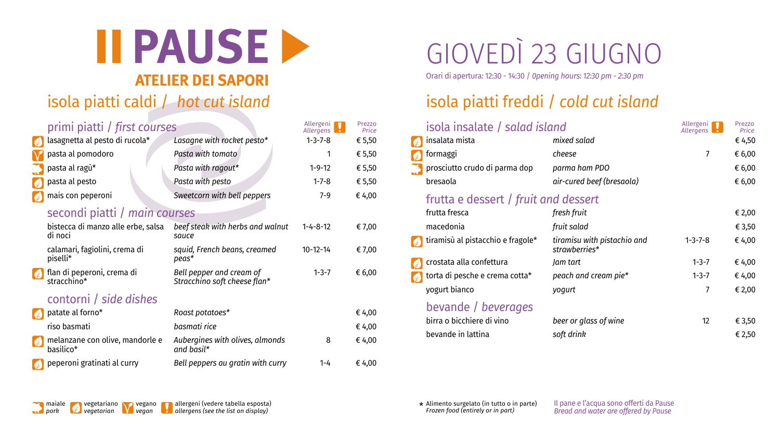\* Alimento surgelato (in tutto o in parte)<br>Frozen food (entirely or in part) maiale vegetariano vegano allergeni (vedere tabella esposta) when we allemento surgelato (in tutto o in parte) *pork vegetarian vegan allergens (see the list on display) Frozen food (entirely or in part)*

Il pane e l'acqua sono offerti da Pause *Bread and water are offered by Pause*



# GIOVEDÌ 23 GIUGNO

Orari di apertura: 12:30 - 14:30 / *0pening hours: 12:30 pm - 2:30 pm*

### isola piatti caldi / *hot cut island* isola piatti freddi / *cold cut island*

| primi piatti / first courses |                                                                | Allergeni <b>T</b><br>Allergens                          | Prezzo<br>Price  | isola insalate / salad island |                                                                  | Allergeni <b>T</b><br>Allergens              | Prezzo<br>Price |        |
|------------------------------|----------------------------------------------------------------|----------------------------------------------------------|------------------|-------------------------------|------------------------------------------------------------------|----------------------------------------------|-----------------|--------|
|                              | asagnetta al pesto di rucola*                                  | Lasagne with rocket pesto*                               | $1 - 3 - 7 - 8$  | € 5,50                        | $\left[\begin{matrix} x \\ y \end{matrix}\right]$ insalata mista | mixed salad                                  |                 | € 4,50 |
|                              | V pasta al pomodoro                                            | Pasta with tomato                                        |                  | € 5,50                        | <b>A</b> formaggi                                                | cheese                                       |                 | € 6,00 |
|                              | pasta al ragù*                                                 | Pasta with ragout*                                       | $1 - 9 - 12$     | € 5,50                        | prosciutto crudo di parma dop                                    | parma ham PDO                                |                 | € 6,00 |
|                              | $\left  \epsilon \right $ pasta al pesto                       | Pasta with pesto                                         | $1 - 7 - 8$      | € 5,50                        | bresaola                                                         | air-cured beef (bresaola)                    |                 | € 6,00 |
|                              | $\left\lceil \frac{1}{\sqrt{2}}\right\rceil$ mais con peperoni | Sweetcorn with bell peppers                              | $7 - 9$          | € 4,00                        | frutta e dessert / fruit and dessert                             |                                              |                 |        |
|                              | secondi piatti / main courses                                  |                                                          |                  |                               | frutta fresca                                                    | fresh fruit                                  |                 | € 2,00 |
|                              | bistecca di manzo alle erbe, salsa                             | beef steak with herbs and walnut                         | $1 - 4 - 8 - 12$ | € 7,00                        | macedonia                                                        | fruit salad                                  |                 | € 3,50 |
|                              | di noci<br>calamari, fagiolini, crema di                       | sauce<br>squid, French beans, creamed                    | $10 - 12 - 14$   | € 7,00                        | $\left\{ \epsilon \right\}$ tiramisù al pistacchio e fragole*    | tiramisu with pistachio and<br>strawberries* | $1 - 3 - 7 - 8$ | € 4,00 |
|                              | piselli*                                                       | peas*                                                    |                  |                               | crostata alla confettura                                         | Jam tart                                     | $1 - 3 - 7$     | € 4,00 |
|                              | Sesient di peperoni, crema di<br>stracchino*                   | Bell pepper and cream of<br>Stracchino soft cheese flan* | $1 - 3 - 7$      | € 6,00                        | torta di pesche e crema cotta*                                   | peach and cream pie*                         | $1 - 3 - 7$     | € 4,00 |
|                              |                                                                |                                                          |                  |                               | yogurt bianco                                                    | yogurt                                       |                 | € 2,00 |
|                              | contorni / side dishes<br>Roast potatoes*                      |                                                          |                  |                               | bevande / beverages                                              |                                              |                 |        |
|                              | $\left\{\ast\right\}$ patate al forno*<br>riso basmati         | basmati rice                                             |                  | € 4,00                        | birra o bicchiere di vino<br>bevande in lattina                  | beer or glass of wine                        | 12              | € 3,50 |
|                              |                                                                |                                                          |                  | € 4,00                        |                                                                  | soft drink                                   |                 | € 2,50 |
|                              | Melanzane con olive, mandorle e<br>basilico <sup>*</sup>       | Aubergines with olives, almonds<br>and basil*            | 8                | € 4,00                        |                                                                  |                                              |                 |        |
|                              | peperoni gratinati al curry                                    | Bell peppers au gratin with curry                        | $1 - 4$          | € 4,00                        |                                                                  |                                              |                 |        |